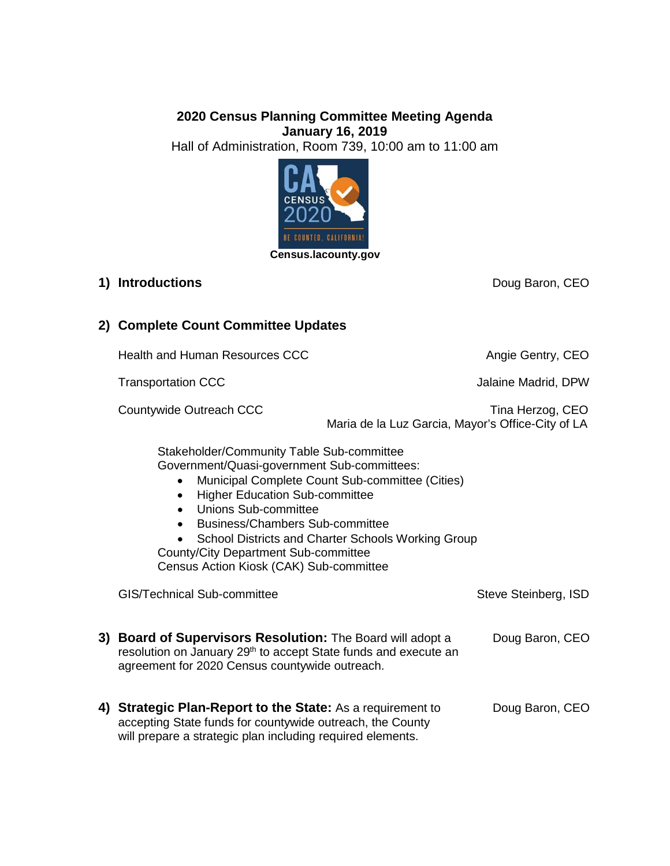## **2020 Census Planning Committee Meeting Agenda January 16, 2019** Hall of Administration, Room 739, 10:00 am to 11:00 am



## **1) Introductions Doug Baron, CEO**

# **2) Complete Count Committee Updates**

Health and Human Resources CCC **Angie Gentry, CEO** 

Transportation CCC **Transportation CCC** and the Madrid, DPW

Countywide Outreach CCC **The COUNTY COUNTY COUNTY COUNTY COUNTY** Tina Herzog, CEO Maria de la Luz Garcia, Mayor's Office-City of LA

Stakeholder/Community Table Sub-committee Government/Quasi-government Sub-committees:

- Municipal Complete Count Sub-committee (Cities)
- Higher Education Sub-committee
- Unions Sub-committee
- Business/Chambers Sub-committee
- School Districts and Charter Schools Working Group
- County/City Department Sub-committee

will prepare a strategic plan including required elements.

Census Action Kiosk (CAK) Sub-committee

| GIS/Technical Sub-committee                                                                                                                                                                 | Steve Steinberg, ISD |
|---------------------------------------------------------------------------------------------------------------------------------------------------------------------------------------------|----------------------|
| 3) Board of Supervisors Resolution: The Board will adopt a<br>resolution on January 29 <sup>th</sup> to accept State funds and execute an<br>agreement for 2020 Census countywide outreach. | Doug Baron, CEO      |
| 4) Strategic Plan-Report to the State: As a requirement to<br>accepting State funds for countywide outreach, the County                                                                     | Doug Baron, CEO      |